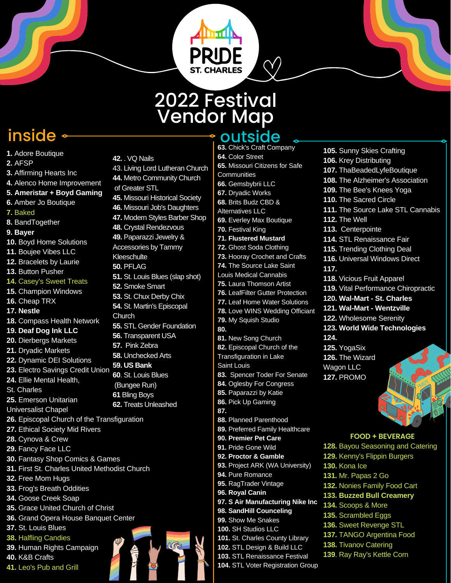## 2022 Festival Vendor Map

PRID

- **1.** Adore Boutique
- **2.** AFSP
- **3.** Affirming Hearts Inc
- **4.** Alenco Home Improvement

**42.** . VQ Nails

of Greater STL

**Kleeschulte 50.** PFLAG

**Church** 

**52.** Smoke Smart **53.** St. Chux Derby Chix **54.** St. Martin's Episcopal

43. Living Lord Lutheran Church **44.** Metro Community Church

**45.** Missouri Historical Society **46.** Missouri Job's Daughters **47.** Modern Styles Barber Shop

**51.** St. Louis Blues (slap shot)

**55.** STL Gender Foundation **56.** Transparent USA **57.** Pink Zebra **58.** Unchecked Arts **59. US Bank 60**. St. Louis Blues (Bungee Run) **61** Bling Boys **62.** Treats Unleashed

**48.** Crystal Rendezvous **49.** Paparazzi Jewelry & Accessories by Tammy

- **5. Ameristar + Boyd Gaming**
- **6.** Amber Jo Boutique
- **7.** Baked
- **8.** BandTogether
- **9. Bayer**
- **10.** Boyd Home Solutions
- **11.** Boujee Vibes LLC
- **12.** Bracelets by Laurie
- **13.** Button Pusher
- **14.** Casey's Sweet Treats
- **15.** Champion Windows
- **16.** Cheap TRX
- **17. Nestle**
- **18.** Compass Health Network
- **19. Deaf Dog Ink LLC**
- **20.** Dierbergs Markets
- **21.** Dryadic Markets
- **22.** Dynamic DEI Solutions
- **23.** Electro Savings Credit Union
- **24.** Ellie Mental Health,
- St. Charles
- **25.** Emerson Unitarian
- Universalist Chapel
- **26.** Episcopal Church of the Transfiguration
- **27.** Ethical Society Mid Rivers
- **28.** Cynova & Crew
- **29.** Fancy Face LLC
- **30.** Fantasy Shop Comics & Games
- **31.** First St. Charles United Methodist Church
- **32.** Free Mom Hugs
- **33.** Frog's Breath Oddities
- **34.** Goose Creek Soap
- **35.** Grace United Church of Christ
- **36.** Grand Opera House Banquet Center
- **37.** St. Louis Blues
- **38.** Halfling Candies
- **39.** Human Rights Campaign
- **40.** K&B Crafts
- **41.** Leo's Pub and Grill

## inside  $\longleftarrow$  outside

 $\langle \!\! \langle \rangle \!\! \rangle$ 

- **63.** Chick's Craft Company **64.** Color Street **65.** Missouri Citizens for Safe **Communities 66.** Gemsbybrii LLC **67.** Dryadic Works **68.** Brits Budz CBD & Alternatives LLC **69.** Everley Max Boutique **70.** Festival King **71. Flustered Mustard 72.** Ghost Soda Clothing **73.** Hooray Crochet and Crafts **74.** The Source Lake Saint Louis Medical Cannabis **75.** Laura Thomson Artist **76.** LeafFilter Gutter Protection **77.** Leaf Home Water Solutions **78.** Love WINS Wedding Officiant **79.** My Squish Studio **80. 81.** New Song Church **82.** Episcopal Church of the Transfiguration in Lake Saint Louis **83.** Spencer Toder For Senate **84.** Oglesby For Congress **85.** Paparazzi by Katie **86.** Pick Up Gaming **87. 88.** Planned Parenthood **89.** Preferred Family Healthcare **90. Premier Pet Care 91.** Pride Gone Wild **92. Proctor & Gamble 93.** Project ARK (WA University) **94.** Pure Romance **95.** RagTrader Vintage **96. Royal Canin 97. S Air Manufacturing Nike Inc 98. SandHill Counceling 99.** Show Me Snakes **100.** SH Studios LLC **101.** St. Charles County Library **102.** STL Design & Build LLC **103.** STL Renaissance Festival **104.** STL Voter Registration Group
	- **105.** Sunny Skies Crafting **106.** Krey Distributing **107.** ThaBeadedLyfeBoutique **108.** The Alzheimer's Association **109.** The Bee's Knees Yoga **110.** The Sacred Circle **111.** The Source Lake STL Cannabis **112.** The Well **113.** Centerpointe **114.** STL Renaissance Fair **115.** Trending Clothing Deal **116.** Universal Windows Direct **117. 118.** Vicious Fruit Apparel **119.** Vital Performance Chiropractic **120. Wal-Mart - St. Charles 121. Wal-Mart - Wentzville 122.** Wholesome Serenity **123. World Wide Technologies 124. 125.** YogaSix **126.** The Wizard Wagon LLC **127.** PROMO

## **FOOD + BEVERAGE**

**128.** Bayou Seasoning and Catering **129.** Kenny's Flippin Burgers **130.** Kona Ice **131.** Mr. Papas 2 Go **132.** Nonies Family Food Cart **133. Buzzed Bull Creamery 134.** Scoops & More **135.** Scrambled Eggs **136.** Sweet Revenge STL **137.** TANGO Argentina Food **138.** Tivanov Catering **139**. Ray Ray's Kettle Corn